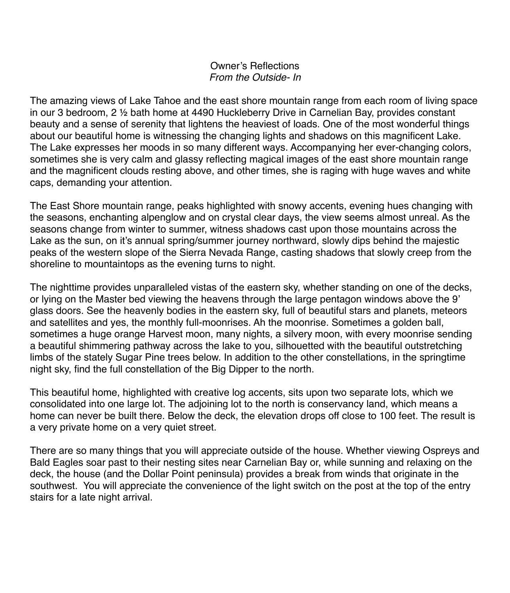## Owner's Reflections *From the Outside- In*

The amazing views of Lake Tahoe and the east shore mountain range from each room of living space in our 3 bedroom, 2 ½ bath home at 4490 Huckleberry Drive in Carnelian Bay, provides constant beauty and a sense of serenity that lightens the heaviest of loads. One of the most wonderful things about our beautiful home is witnessing the changing lights and shadows on this magnificent Lake. The Lake expresses her moods in so many different ways. Accompanying her ever-changing colors, sometimes she is very calm and glassy reflecting magical images of the east shore mountain range and the magnificent clouds resting above, and other times, she is raging with huge waves and white caps, demanding your attention.

The East Shore mountain range, peaks highlighted with snowy accents, evening hues changing with the seasons, enchanting alpenglow and on crystal clear days, the view seems almost unreal. As the seasons change from winter to summer, witness shadows cast upon those mountains across the Lake as the sun, on it's annual spring/summer journey northward, slowly dips behind the majestic peaks of the western slope of the Sierra Nevada Range, casting shadows that slowly creep from the shoreline to mountaintops as the evening turns to night.

The nighttime provides unparalleled vistas of the eastern sky, whether standing on one of the decks, or lying on the Master bed viewing the heavens through the large pentagon windows above the 9' glass doors. See the heavenly bodies in the eastern sky, full of beautiful stars and planets, meteors and satellites and yes, the monthly full-moonrises. Ah the moonrise. Sometimes a golden ball, sometimes a huge orange Harvest moon, many nights, a silvery moon, with every moonrise sending a beautiful shimmering pathway across the lake to you, silhouetted with the beautiful outstretching limbs of the stately Sugar Pine trees below. In addition to the other constellations, in the springtime night sky, find the full constellation of the Big Dipper to the north.

This beautiful home, highlighted with creative log accents, sits upon two separate lots, which we consolidated into one large lot. The adjoining lot to the north is conservancy land, which means a home can never be built there. Below the deck, the elevation drops off close to 100 feet. The result is a very private home on a very quiet street.

There are so many things that you will appreciate outside of the house. Whether viewing Ospreys and Bald Eagles soar past to their nesting sites near Carnelian Bay or, while sunning and relaxing on the deck, the house (and the Dollar Point peninsula) provides a break from winds that originate in the southwest. You will appreciate the convenience of the light switch on the post at the top of the entry stairs for a late night arrival.